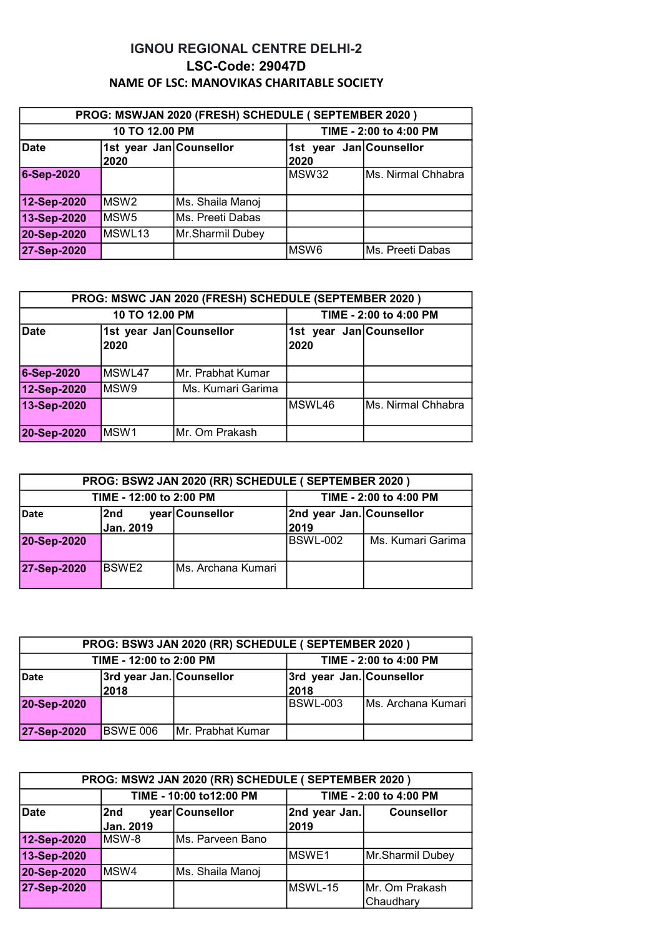## IGNOU REGIONAL CENTRE DELHI-2 LSC-Code: 29047D NAME OF LSC: MANOVIKAS CHARITABLE SOCIETY

| PROG: MSWJAN 2020 (FRESH) SCHEDULE ( SEPTEMBER 2020 ) |                                 |                        |                                 |                    |
|-------------------------------------------------------|---------------------------------|------------------------|---------------------------------|--------------------|
| 10 TO 12.00 PM                                        |                                 | TIME - 2:00 to 4:00 PM |                                 |                    |
| <b>Date</b>                                           | 1st year Jan Counsellor<br>2020 |                        | 1st year Jan Counsellor<br>2020 |                    |
| 6-Sep-2020                                            |                                 |                        | MSW32                           | Ms. Nirmal Chhabra |
| 12-Sep-2020                                           | IMSW2                           | Ms. Shaila Manoj       |                                 |                    |
| 13-Sep-2020                                           | <b>IMSW5</b>                    | lMs. Preeti Dabas      |                                 |                    |
| 20-Sep-2020                                           | IMSWL13                         | Mr.Sharmil Dubey       |                                 |                    |
| 27-Sep-2020                                           |                                 |                        | MSW6                            | Ms. Preeti Dabas   |

| PROG: MSWC JAN 2020 (FRESH) SCHEDULE (SEPTEMBER 2020) |                                 |                   |                                 |                     |
|-------------------------------------------------------|---------------------------------|-------------------|---------------------------------|---------------------|
| 10 TO 12.00 PM                                        |                                 |                   | TIME - 2:00 to 4:00 PM          |                     |
| <b>Date</b>                                           | 1st year Jan Counsellor<br>2020 |                   | 1st year Jan Counsellor<br>2020 |                     |
| 6-Sep-2020                                            | MSWL47                          | Mr. Prabhat Kumar |                                 |                     |
| 12-Sep-2020                                           | IMSW9                           | Ms. Kumari Garima |                                 |                     |
| 13-Sep-2020                                           |                                 |                   | MSWL46                          | lMs. Nirmal Chhabra |
| 20-Sep-2020                                           | MSW <sub>1</sub>                | Mr. Om Prakash    |                                 |                     |

| PROG: BSW2 JAN 2020 (RR) SCHEDULE ( SEPTEMBER 2020 ) |           |                     |                          |                   |
|------------------------------------------------------|-----------|---------------------|--------------------------|-------------------|
| TIME - 12:00 to 2:00 PM                              |           |                     | TIME - 2:00 to 4:00 PM   |                   |
| <b>Date</b>                                          | l2nd      | year Counsellor     | 2nd year Jan. Counsellor |                   |
|                                                      | Jan. 2019 |                     | 2019                     |                   |
| 20-Sep-2020                                          |           |                     | <b>BSWL-002</b>          | Ms. Kumari Garima |
| 27-Sep-2020                                          | BSWE2     | IMs. Archana Kumari |                          |                   |

| PROG: BSW3 JAN 2020 (RR) SCHEDULE ( SEPTEMBER 2020 ) |                          |                        |                          |                     |
|------------------------------------------------------|--------------------------|------------------------|--------------------------|---------------------|
| TIME - 12:00 to 2:00 PM                              |                          | TIME - 2:00 to 4:00 PM |                          |                     |
| <b>Date</b>                                          | 3rd year Jan. Counsellor |                        | 3rd year Jan. Counsellor |                     |
|                                                      | 2018                     |                        | 2018                     |                     |
| 20-Sep-2020                                          |                          |                        | BSWL-003                 | IMs. Archana Kumari |
| 27-Sep-2020                                          | BSWE 006                 | Mr. Prabhat Kumar      |                          |                     |

| PROG: MSW2 JAN 2020 (RR) SCHEDULE ( SEPTEMBER 2020 ) |                         |                   |                        |                   |
|------------------------------------------------------|-------------------------|-------------------|------------------------|-------------------|
|                                                      | TIME - 10:00 to12:00 PM |                   | TIME - 2:00 to 4:00 PM |                   |
| Date                                                 | 2nd                     | year Counsellor   | 2nd year Jan.          | <b>Counsellor</b> |
|                                                      | <b>Jan. 2019</b>        |                   | 2019                   |                   |
| 12-Sep-2020                                          | <b>IMSW-8</b>           | IMs. Parveen Bano |                        |                   |
| 13-Sep-2020                                          |                         |                   | <b>MSWE1</b>           | Mr.Sharmil Dubey  |
| 20-Sep-2020                                          | <b>IMSW4</b>            | Ms. Shaila Manoj  |                        |                   |
| 27-Sep-2020                                          |                         |                   | MSWL-15                | IMr. Om Prakash   |
|                                                      |                         |                   |                        | Chaudhary         |